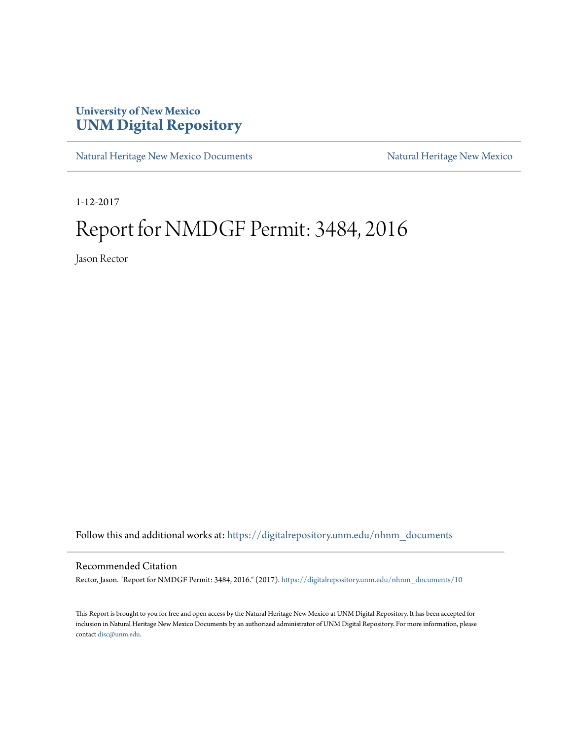## **University of New Mexico [UNM Digital Repository](https://digitalrepository.unm.edu?utm_source=digitalrepository.unm.edu%2Fnhnm_documents%2F10&utm_medium=PDF&utm_campaign=PDFCoverPages)**

[Natural Heritage New Mexico Documents](https://digitalrepository.unm.edu/nhnm_documents?utm_source=digitalrepository.unm.edu%2Fnhnm_documents%2F10&utm_medium=PDF&utm_campaign=PDFCoverPages) [Natural Heritage New Mexico](https://digitalrepository.unm.edu/nhnm?utm_source=digitalrepository.unm.edu%2Fnhnm_documents%2F10&utm_medium=PDF&utm_campaign=PDFCoverPages)

1-12-2017

## Report for NMDGF Permit: 3484, 2016

Jason Rector

Follow this and additional works at: [https://digitalrepository.unm.edu/nhnm\\_documents](https://digitalrepository.unm.edu/nhnm_documents?utm_source=digitalrepository.unm.edu%2Fnhnm_documents%2F10&utm_medium=PDF&utm_campaign=PDFCoverPages)

## Recommended Citation

Rector, Jason. "Report for NMDGF Permit: 3484, 2016." (2017). [https://digitalrepository.unm.edu/nhnm\\_documents/10](https://digitalrepository.unm.edu/nhnm_documents/10?utm_source=digitalrepository.unm.edu%2Fnhnm_documents%2F10&utm_medium=PDF&utm_campaign=PDFCoverPages)

This Report is brought to you for free and open access by the Natural Heritage New Mexico at UNM Digital Repository. It has been accepted for inclusion in Natural Heritage New Mexico Documents by an authorized administrator of UNM Digital Repository. For more information, please contact [disc@unm.edu.](mailto:disc@unm.edu)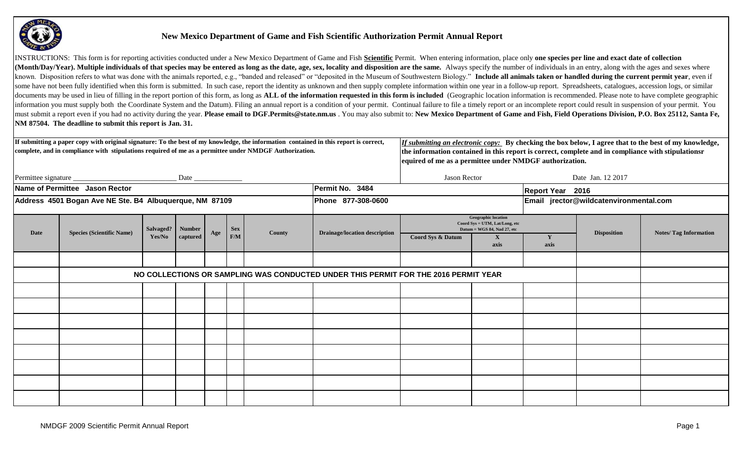

## **New Mexico Department of Game and Fish Scientific Authorization Permit Annual Report**

INSTRUCTIONS: This form is for reporting activities conducted under a New Mexico Department of Game and Fish Scientific Permit. When entering information, place only one species per line and exact date of collection (Month/Day/Year). Multiple individuals of that species may be entered as long as the date, age, sex, locality and disposition are the same. Always specify the number of individuals in an entry, along with the ages and sexe known. Disposition refers to what was done with the animals reported, e.g., "banded and released" or "deposited in the Museum of Southwestern Biology." Include all animals taken or handled during the current permit year, e some have not been fully identified when this form is submitted. In such case, report the identity as unknown and then supply complete information within one year in a follow-up report. Spreadsheets, catalogues, accession documents may be used in lieu of filling in the report portion of this form, as long as ALL of the information requested in this form is included (Geographic location information is recommended. Please note to have complet information you must supply both the Coordinate System and the Datum). Filing an annual report is a condition of your permit. Continual failure to file a timely report or an incomplete report could result in suspension of must submit a report even if you had no activity during the year. Please email to DGF.Permits@state.nm.us. You may also submit to: New Mexico Department of Game and Fish, Field Operations Division, P.O. Box 25112, Santa Fe **NM 87504. The deadline to submit this report is Jan. 31.** 

|             | If submitting a paper copy with original signature: To the best of my knowledge, the information contained in this report is correct,<br>complete, and in compliance with stipulations required of me as a permittee under NMDGF Authorization. |        |                                   |     |     |        |                                                                                     | If submitting an electronic copy: By checking the box below, I agree that to the best of my knowledge,<br>the information contained in this report is correct, complete and in compliance with stipulationsr<br>equired of me as a permittee under NMDGF authorization. |                                                                                             |           |                                        |                               |  |
|-------------|-------------------------------------------------------------------------------------------------------------------------------------------------------------------------------------------------------------------------------------------------|--------|-----------------------------------|-----|-----|--------|-------------------------------------------------------------------------------------|-------------------------------------------------------------------------------------------------------------------------------------------------------------------------------------------------------------------------------------------------------------------------|---------------------------------------------------------------------------------------------|-----------|----------------------------------------|-------------------------------|--|
|             |                                                                                                                                                                                                                                                 |        | $\frac{\text{Date}}{\text{Date}}$ |     |     |        |                                                                                     | Jason Rector<br>Date Jan. 12 2017                                                                                                                                                                                                                                       |                                                                                             |           |                                        |                               |  |
|             | Name of Permittee Jason Rector                                                                                                                                                                                                                  |        |                                   |     |     |        | Permit No. 3484                                                                     | <b>Report Year</b> 2016                                                                                                                                                                                                                                                 |                                                                                             |           |                                        |                               |  |
|             | Address 4501 Bogan Ave NE Ste. B4 Albuquerque, NM 87109                                                                                                                                                                                         |        |                                   |     |     |        | Phone 877-308-0600                                                                  |                                                                                                                                                                                                                                                                         |                                                                                             |           | Email jrector@wildcatenvironmental.com |                               |  |
|             | <b>Number</b><br>Salvaged?<br><b>Sex</b>                                                                                                                                                                                                        |        |                                   |     |     |        |                                                                                     |                                                                                                                                                                                                                                                                         | <b>Geographic location</b><br>Coord Sys = UTM, Lat/Long, etc<br>Datum = WGS 84, Nad 27, etc |           |                                        |                               |  |
| <b>Date</b> | <b>Species (Scientific Name)</b>                                                                                                                                                                                                                | Yes/No | captured                          | Age | F/M | County | <b>Drainage/location description</b>                                                | Coord Sys & Datum                                                                                                                                                                                                                                                       | $\mathbf{X}$<br>axis                                                                        | Y<br>axis | <b>Disposition</b>                     | <b>Notes/ Tag Information</b> |  |
|             |                                                                                                                                                                                                                                                 |        |                                   |     |     |        |                                                                                     |                                                                                                                                                                                                                                                                         |                                                                                             |           |                                        |                               |  |
|             |                                                                                                                                                                                                                                                 |        |                                   |     |     |        | NO COLLECTIONS OR SAMPLING WAS CONDUCTED UNDER THIS PERMIT FOR THE 2016 PERMIT YEAR |                                                                                                                                                                                                                                                                         |                                                                                             |           |                                        |                               |  |
|             |                                                                                                                                                                                                                                                 |        |                                   |     |     |        |                                                                                     |                                                                                                                                                                                                                                                                         |                                                                                             |           |                                        |                               |  |
|             |                                                                                                                                                                                                                                                 |        |                                   |     |     |        |                                                                                     |                                                                                                                                                                                                                                                                         |                                                                                             |           |                                        |                               |  |
|             |                                                                                                                                                                                                                                                 |        |                                   |     |     |        |                                                                                     |                                                                                                                                                                                                                                                                         |                                                                                             |           |                                        |                               |  |
|             |                                                                                                                                                                                                                                                 |        |                                   |     |     |        |                                                                                     |                                                                                                                                                                                                                                                                         |                                                                                             |           |                                        |                               |  |
|             |                                                                                                                                                                                                                                                 |        |                                   |     |     |        |                                                                                     |                                                                                                                                                                                                                                                                         |                                                                                             |           |                                        |                               |  |
|             |                                                                                                                                                                                                                                                 |        |                                   |     |     |        |                                                                                     |                                                                                                                                                                                                                                                                         |                                                                                             |           |                                        |                               |  |
|             |                                                                                                                                                                                                                                                 |        |                                   |     |     |        |                                                                                     |                                                                                                                                                                                                                                                                         |                                                                                             |           |                                        |                               |  |
|             |                                                                                                                                                                                                                                                 |        |                                   |     |     |        |                                                                                     |                                                                                                                                                                                                                                                                         |                                                                                             |           |                                        |                               |  |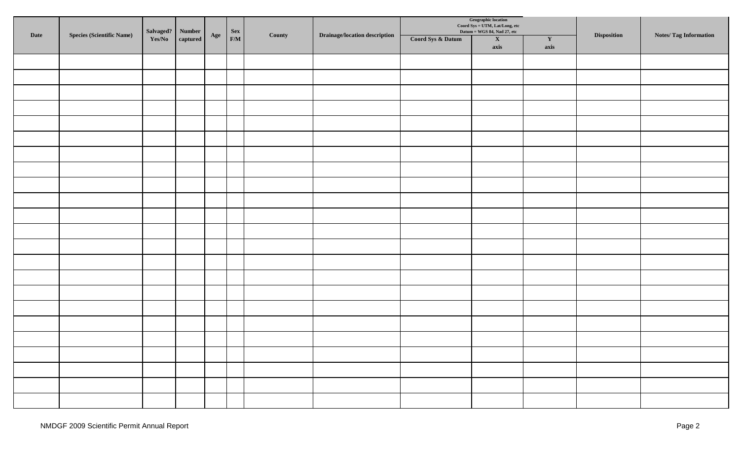|      | <b>Species (Scientific Name)</b> | Salvaged? | Number          |              |                              | County | <b>Drainage/location description</b> |                   | Geographic location<br>Coord Sys = UTM, Lat/Long, etc<br>Datum = WGS 84, Nad 27, etc |                      |                    |                              |
|------|----------------------------------|-----------|-----------------|--------------|------------------------------|--------|--------------------------------------|-------------------|--------------------------------------------------------------------------------------|----------------------|--------------------|------------------------------|
| Date |                                  | Yes/No    | $\bf{captured}$ | $\bold{Age}$ | $\begin{array}{c}\n$ Sex F/M |        |                                      | Coord Sys & Datum | $\boldsymbol{\mathrm{X}}$<br>axis                                                    | $\mathbf{Y}$<br>axis | <b>Disposition</b> | <b>Notes/Tag Information</b> |
|      |                                  |           |                 |              |                              |        |                                      |                   |                                                                                      |                      |                    |                              |
|      |                                  |           |                 |              |                              |        |                                      |                   |                                                                                      |                      |                    |                              |
|      |                                  |           |                 |              |                              |        |                                      |                   |                                                                                      |                      |                    |                              |
|      |                                  |           |                 |              |                              |        |                                      |                   |                                                                                      |                      |                    |                              |
|      |                                  |           |                 |              |                              |        |                                      |                   |                                                                                      |                      |                    |                              |
|      |                                  |           |                 |              |                              |        |                                      |                   |                                                                                      |                      |                    |                              |
|      |                                  |           |                 |              |                              |        |                                      |                   |                                                                                      |                      |                    |                              |
|      |                                  |           |                 |              |                              |        |                                      |                   |                                                                                      |                      |                    |                              |
|      |                                  |           |                 |              |                              |        |                                      |                   |                                                                                      |                      |                    |                              |
|      |                                  |           |                 |              |                              |        |                                      |                   |                                                                                      |                      |                    |                              |
|      |                                  |           |                 |              |                              |        |                                      |                   |                                                                                      |                      |                    |                              |
|      |                                  |           |                 |              |                              |        |                                      |                   |                                                                                      |                      |                    |                              |
|      |                                  |           |                 |              |                              |        |                                      |                   |                                                                                      |                      |                    |                              |
|      |                                  |           |                 |              |                              |        |                                      |                   |                                                                                      |                      |                    |                              |
|      |                                  |           |                 |              |                              |        |                                      |                   |                                                                                      |                      |                    |                              |
|      |                                  |           |                 |              |                              |        |                                      |                   |                                                                                      |                      |                    |                              |
|      |                                  |           |                 |              |                              |        |                                      |                   |                                                                                      |                      |                    |                              |
|      |                                  |           |                 |              |                              |        |                                      |                   |                                                                                      |                      |                    |                              |
|      |                                  |           |                 |              |                              |        |                                      |                   |                                                                                      |                      |                    |                              |
|      |                                  |           |                 |              |                              |        |                                      |                   |                                                                                      |                      |                    |                              |
|      |                                  |           |                 |              |                              |        |                                      |                   |                                                                                      |                      |                    |                              |
|      |                                  |           |                 |              |                              |        |                                      |                   |                                                                                      |                      |                    |                              |
|      |                                  |           |                 |              |                              |        |                                      |                   |                                                                                      |                      |                    |                              |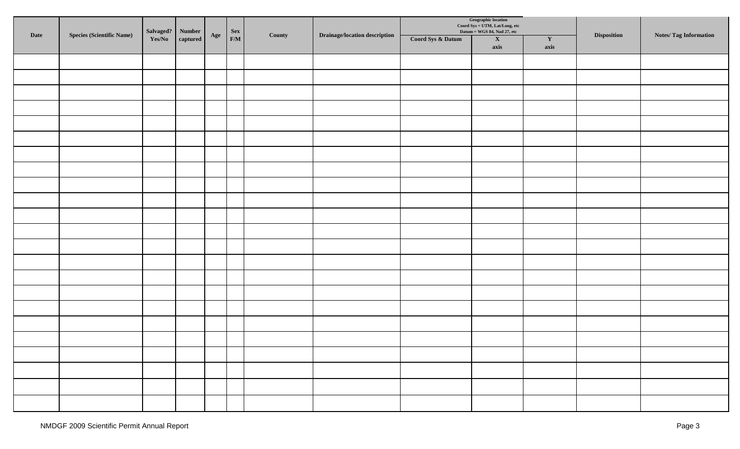|      | <b>Species (Scientific Name)</b> | Salvaged? | <b>Number</b>       |     |                              | County | <b>Drainage/location description</b> |                   | Geographic location<br>Coord Sys = UTM, Lat/Long, etc<br>Datum = WGS 84, Nad 27, etc |                      |             |                              |
|------|----------------------------------|-----------|---------------------|-----|------------------------------|--------|--------------------------------------|-------------------|--------------------------------------------------------------------------------------|----------------------|-------------|------------------------------|
| Date |                                  | Yes/No    | $\mathbf c$ aptured | Age | $\begin{array}{c}\n$ Sex F/M |        |                                      | Coord Sys & Datum | $\mathbf X$<br>axis                                                                  | $\mathbf{Y}$<br>axis | Disposition | <b>Notes/Tag Information</b> |
|      |                                  |           |                     |     |                              |        |                                      |                   |                                                                                      |                      |             |                              |
|      |                                  |           |                     |     |                              |        |                                      |                   |                                                                                      |                      |             |                              |
|      |                                  |           |                     |     |                              |        |                                      |                   |                                                                                      |                      |             |                              |
|      |                                  |           |                     |     |                              |        |                                      |                   |                                                                                      |                      |             |                              |
|      |                                  |           |                     |     |                              |        |                                      |                   |                                                                                      |                      |             |                              |
|      |                                  |           |                     |     |                              |        |                                      |                   |                                                                                      |                      |             |                              |
|      |                                  |           |                     |     |                              |        |                                      |                   |                                                                                      |                      |             |                              |
|      |                                  |           |                     |     |                              |        |                                      |                   |                                                                                      |                      |             |                              |
|      |                                  |           |                     |     |                              |        |                                      |                   |                                                                                      |                      |             |                              |
|      |                                  |           |                     |     |                              |        |                                      |                   |                                                                                      |                      |             |                              |
|      |                                  |           |                     |     |                              |        |                                      |                   |                                                                                      |                      |             |                              |
|      |                                  |           |                     |     |                              |        |                                      |                   |                                                                                      |                      |             |                              |
|      |                                  |           |                     |     |                              |        |                                      |                   |                                                                                      |                      |             |                              |
|      |                                  |           |                     |     |                              |        |                                      |                   |                                                                                      |                      |             |                              |
|      |                                  |           |                     |     |                              |        |                                      |                   |                                                                                      |                      |             |                              |
|      |                                  |           |                     |     |                              |        |                                      |                   |                                                                                      |                      |             |                              |
|      |                                  |           |                     |     |                              |        |                                      |                   |                                                                                      |                      |             |                              |
|      |                                  |           |                     |     |                              |        |                                      |                   |                                                                                      |                      |             |                              |
|      |                                  |           |                     |     |                              |        |                                      |                   |                                                                                      |                      |             |                              |
|      |                                  |           |                     |     |                              |        |                                      |                   |                                                                                      |                      |             |                              |
|      |                                  |           |                     |     |                              |        |                                      |                   |                                                                                      |                      |             |                              |
|      |                                  |           |                     |     |                              |        |                                      |                   |                                                                                      |                      |             |                              |
|      |                                  |           |                     |     |                              |        |                                      |                   |                                                                                      |                      |             |                              |
|      |                                  |           |                     |     |                              |        |                                      |                   |                                                                                      |                      |             |                              |